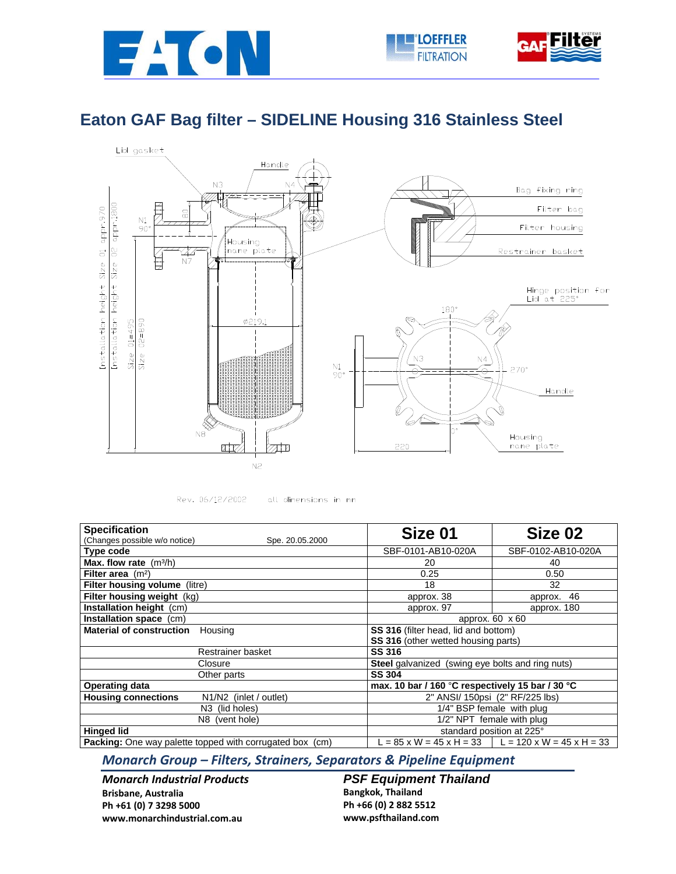



## **Eaton GAF Bag filter – SIDELINE Housing 316 Stainless Steel**



Rev. 06/12/2002 all dimensions in mm

| <b>Specification</b>                                            | Size 01                                                 | Size 02                                                     |
|-----------------------------------------------------------------|---------------------------------------------------------|-------------------------------------------------------------|
| (Changes possible w/o notice)<br>Spe. 20.05.2000                |                                                         |                                                             |
| Type code                                                       | SBF-0101-AB10-020A                                      | SBF-0102-AB10-020A                                          |
| <b>Max. flow rate</b> $(m^3/h)$                                 | 20                                                      | 40                                                          |
| Filter area $(m2)$                                              | 0.25                                                    | 0.50                                                        |
| Filter housing volume (litre)                                   | 18                                                      | 32                                                          |
| Filter housing weight (kg)                                      | approx. 38                                              | approx. 46                                                  |
| Installation height (cm)                                        | approx. 97                                              | approx. 180                                                 |
| Installation space (cm)                                         | approx. 60 x 60                                         |                                                             |
| <b>Material of construction</b><br>Housing                      | SS 316 (filter head, lid and bottom)                    |                                                             |
|                                                                 | SS 316 (other wetted housing parts)                     |                                                             |
| Restrainer basket                                               | <b>SS 316</b>                                           |                                                             |
| Closure                                                         | <b>Steel</b> galvanized (swing eye bolts and ring nuts) |                                                             |
| Other parts                                                     | <b>SS 304</b>                                           |                                                             |
| <b>Operating data</b>                                           | max. 10 bar / 160 °C respectively 15 bar / 30 °C        |                                                             |
| <b>Housing connections</b><br>N1/N2 (inlet / outlet)            | 2" ANSI/ 150psi (2" RF/225 lbs)                         |                                                             |
| N <sub>3</sub> (lid holes)                                      | 1/4" BSP female with plug                               |                                                             |
| N8 (vent hole)                                                  | 1/2" NPT female with plug                               |                                                             |
| <b>Hinged lid</b>                                               | standard position at 225°                               |                                                             |
| <b>Packing:</b> One way palette topped with corrugated box (cm) |                                                         | $L = 85$ x W = 45 x H = 33 $\mid L = 120$ x W = 45 x H = 33 |

## *Monarch Group – Filters, Strainers, Separators & Pipeline Equipment*

*Monarch Industrial Products* **Brisbane, Australia Ph +61 (0) 7 3298 5000 www.monarchindustrial.com.au**

**PSF Equipment Thailand Bangkok, Thailand Ph +66 (0) 2 882 5512 www.psfthailand.com**